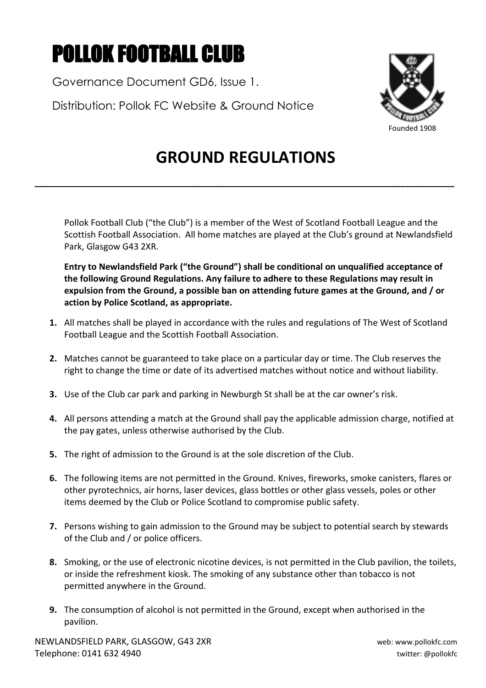## POLLOK FOOTBALL CLUB

Governance Document GD6, Issue 1.

Distribution: Pollok FC Website & Ground Notice



## **GROUND REGULATIONS**

**\_\_\_\_\_\_\_\_\_\_\_\_\_\_\_\_\_\_\_\_\_\_\_\_\_\_\_\_\_\_\_\_\_\_\_\_\_\_\_\_\_\_\_\_\_\_\_\_\_\_\_\_\_\_\_\_\_\_\_\_\_\_\_\_\_\_\_\_\_\_\_\_\_\_\_\_\_\_\_\_\_\_\_\_\_\_**

Pollok Football Club ("the Club") is a member of the West of Scotland Football League and the Scottish Football Association. All home matches are played at the Club's ground at Newlandsfield Park, Glasgow G43 2XR.

**Entry to Newlandsfield Park ("the Ground") shall be conditional on unqualified acceptance of the following Ground Regulations. Any failure to adhere to these Regulations may result in expulsion from the Ground, a possible ban on attending future games at the Ground, and / or action by Police Scotland, as appropriate.** 

- **1.** All matches shall be played in accordance with the rules and regulations of The West of Scotland Football League and the Scottish Football Association.
- **2.** Matches cannot be guaranteed to take place on a particular day or time. The Club reserves the right to change the time or date of its advertised matches without notice and without liability.
- **3.** Use of the Club car park and parking in Newburgh St shall be at the car owner's risk.
- **4.** All persons attending a match at the Ground shall pay the applicable admission charge, notified at the pay gates, unless otherwise authorised by the Club.
- **5.** The right of admission to the Ground is at the sole discretion of the Club.
- **6.** The following items are not permitted in the Ground. Knives, fireworks, smoke canisters, flares or other pyrotechnics, air horns, laser devices, glass bottles or other glass vessels, poles or other items deemed by the Club or Police Scotland to compromise public safety.
- **7.** Persons wishing to gain admission to the Ground may be subject to potential search by stewards of the Club and / or police officers.
- **8.** Smoking, or the use of electronic nicotine devices, is not permitted in the Club pavilion, the toilets, or inside the refreshment kiosk. The smoking of any substance other than tobacco is not permitted anywhere in the Ground.
- **9.** The consumption of alcohol is not permitted in the Ground, except when authorised in the pavilion.